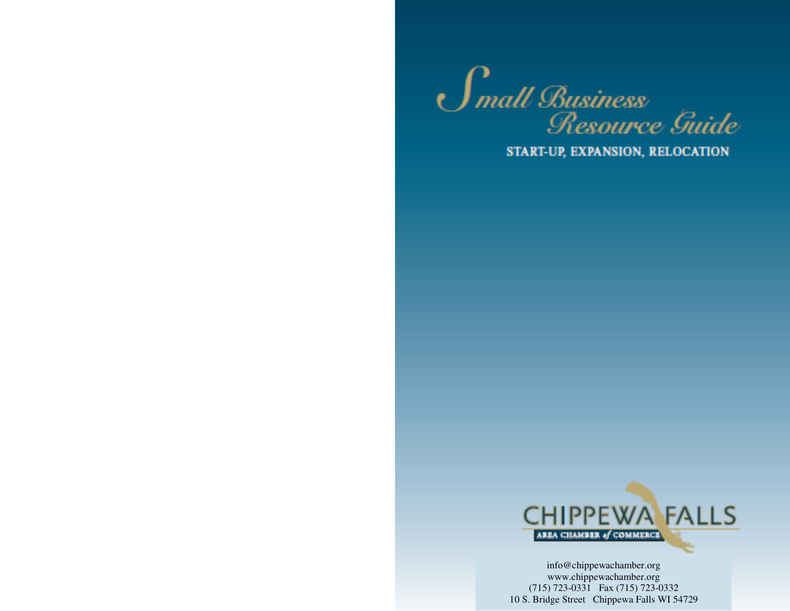

START-UP, EXPANSION, RELOCATION



info@chippewachamber.org www.chippewachamber.org (715) 723-0331 Fax (715) 723-0332 10 S. Bridge Street Chippewa Falls WI 54729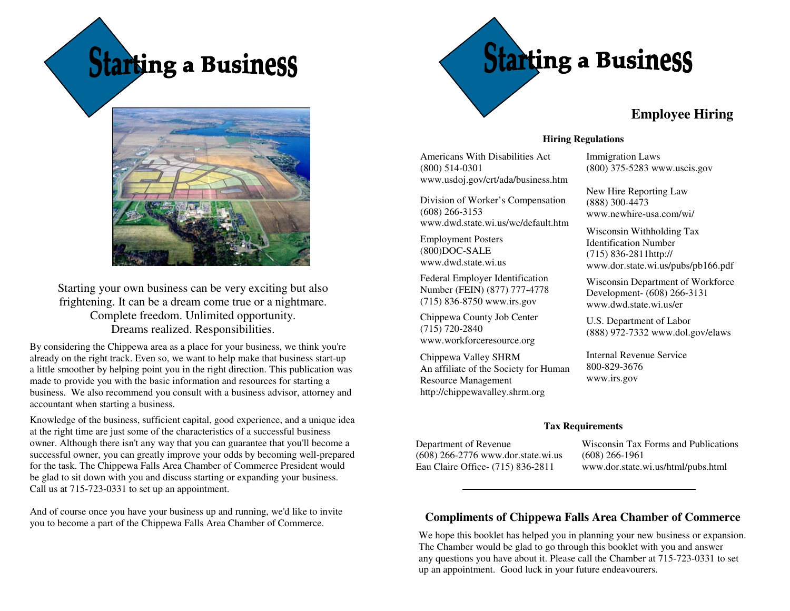Starting a Business



Starting your own business can be very exciting but also frightening. It can be a dream come true or a nightmare. Complete freedom. Unlimited opportunity. Dreams realized. Responsibilities.

By considering the Chippewa area as a place for your business, we think you're already on the right track. Even so, we want to help make that business start-up a little smoother by helping point you in the right direction. This publication was made to provide you with the basic information and resources for starting a business. We also recommend you consult with a business advisor, attorney and accountant when starting a business.

Knowledge of the business, sufficient capital, good experience, and a unique idea at the right time are just some of the characteristics of a successful business owner. Although there isn't any way that you can guarantee that you'll become a successful owner, you can greatly improve your odds by becoming well-prepared for the task. The Chippewa Falls Area Chamber of Commerce President would be glad to sit down with you and discuss starting or expanding your business. Call us at 715-723-0331 to set up an appointment.

And of course once you have your business up and running, we'd like to invite you to become a part of the Chippewa Falls Area Chamber of Commerce.



**Hiring Regulations** 

Americans With Disabilities Act (800) 514-0301 www.usdoj.gov/crt/ada/business.htm

Division of Worker's Compensation (608) 266-3153 www.dwd.state.wi.us/wc/default.htm

Employment Posters (800)DOC-SALE www.dwd.state.wi.us

Federal Employer Identification Number (FEIN) (877) 777-4778 (715) 836-8750 www.irs.gov

Chippewa County Job Center (715) 720-2840 www.workforceresource.org

Chippewa Valley SHRM An affiliate of the Society for Human Resource Management http://chippewavalley.shrm.org

### Immigration Laws (800) 375-5283 www.uscis.gov

New Hire Reporting Law (888) 300-4473 www.newhire-usa.com/wi/

Wisconsin Withholding Tax Identification Number (715) 836-2811http://www.dor.state.wi.us/pubs/pb166.pdf

Wisconsin Department of Workforce Development- (608) 266-3131www.dwd.state.wi.us/er

U.S. Department of Labor (888) 972-7332 www.dol.gov/elaws

Internal Revenue Service 800-829-3676 www.irs.gov

### **Tax Requirements**

Department of Revenue (608) 266-2776 www.dor.state.wi.us Eau Claire Office- (715) 836-2811

Wisconsin Tax Forms and Publications (608) 266-1961 www.dor.state.wi.us/html/pubs.html

### **Compliments of Chippewa Falls Area Chamber of Commerce**

We hope this booklet has helped you in planning your new business or expansion. The Chamber would be glad to go through this booklet with you and answer any questions you have about it. Please call the Chamber at 715-723-0331 to set up an appointment. Good luck in your future endeavourers.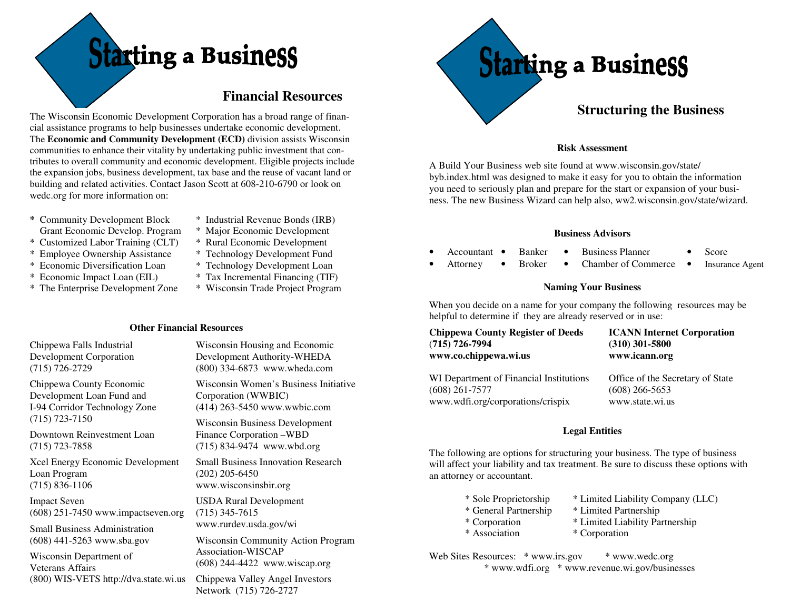# tarting a Business

### **Financial Resources**

The Wisconsin Economic Development Corporation has a broad range of financial assistance programs to help businesses undertake economic development. The **Economic and Community Development (ECD)** division assists Wisconsin communities to enhance their vitality by undertaking public investment that contributes to overall community and economic development. Eligible projects include the expansion jobs, business development, tax base and the reuse of vacant land or building and related activities. Contact Jason Scott at 608-210-6790 or look on wedc.org for more information on:

- **\*** Community Development Block Grant Economic Develop. Program
- \* Customized Labor Training (CLT)
- \* Employee Ownership Assistance
- \* Economic Diversification Loan
- \* Economic Impact Loan (EIL)
- \* The Enterprise Development Zone
- \* Industrial Revenue Bonds (IRB)
- \* Major Economic Development
- \* Rural Economic Development
- \* Technology Development Fund
- 
- 
- \* Wisconsin Trade Project Program

Chippewa Falls Industrial Development Corporation (715) 726-2729

 Development Loan Fund and I-94 Corridor Technology Zone (715) 723-7150

Downtown Reinvestment Loan (715) 723-7858

Loan Program (715) 836-1106

Impact Seven (608) 251-7450 www.impactseven.org

Small Business Administration (608) 441-5263 www.sba.gov

Wisconsin Department of Veterans Affairs (800) WIS-VETS http://dva.state.wi.us

Wisconsin Housing and Economic Development Authority-WHEDA (800) 334-6873 www.wheda.com

Wisconsin Women's Business Initiative Corporation (WWBIC) (414) 263-5450 www.wwbic.com

Wisconsin Business Development Finance Corporation –WBD (715) 834-9474 www.wbd.org

Small Business Innovation Research (202) 205-6450 www.wisconsinsbir.org

USDA Rural Development (715) 345-7615 www.rurdev.usda.gov/wi

Wisconsin Community Action Program Association-WISCAP (608) 244-4422 www.wiscap.org

Chippewa Valley Angel Investors Network (715) 726-2727



### **Structuring the Business**

### **Risk Assessment**

A Build Your Business web site found at www.wisconsin.gov/state/ byb.index.html was designed to make it easy for you to obtain the information you need to seriously plan and prepare for the start or expansion of your business. The new Business Wizard can help also, ww2.wisconsin.gov/state/wizard.

### **Business Advisors**

- Accountant • Banker • Business Planner • Score
- **Attorney** • Broker • Chamber of Commerce • **Insurance Agent**

### **Naming Your Business**

When you decide on a name for your company the following resources may be helpful to determine if they are already reserved or in use:

| <b>Chippewa County Register of Deeds</b> | <b>ICANN Internet Corporation</b> |
|------------------------------------------|-----------------------------------|
| (715) 726-7994                           | $(310)$ 301-5800                  |
| www.co.chippewa.wi.us                    | www.icann.org                     |
| WI Department of Financial Institutions  | Office of the Secretary of State  |
| (608) 261-7577                           | $(608)$ 266-5653                  |
| www.wdfi.org/corporations/crispix        | www.state.wi.us                   |

### **Legal Entities**

The following are options for structuring your business. The type of business will affect your liability and tax treatment. Be sure to discuss these options with an attorney or accountant.

| * Sole Proprietorship     |
|---------------------------|
| * General Partnership     |
| * Corporation             |
| $\frac{1}{2}$ Aggradation |

- \* Limited Liability Company (LLC)
- \* General Partnership \* Limited Partnership
- \* Corporation \* Limited Liability Partnership
	- Association \* Corporation
- Web Sites Resources: \* www.irs.gov \* www.wedc.org \* www.wdfi.org \* www.revenue.wi.gov/businesses

- \* Technology Development Loan
- \* Tax Incremental Financing (TIF)
- 

 **Other Financial Resources** 

Chippewa County Economic

## Xcel Energy Economic Development